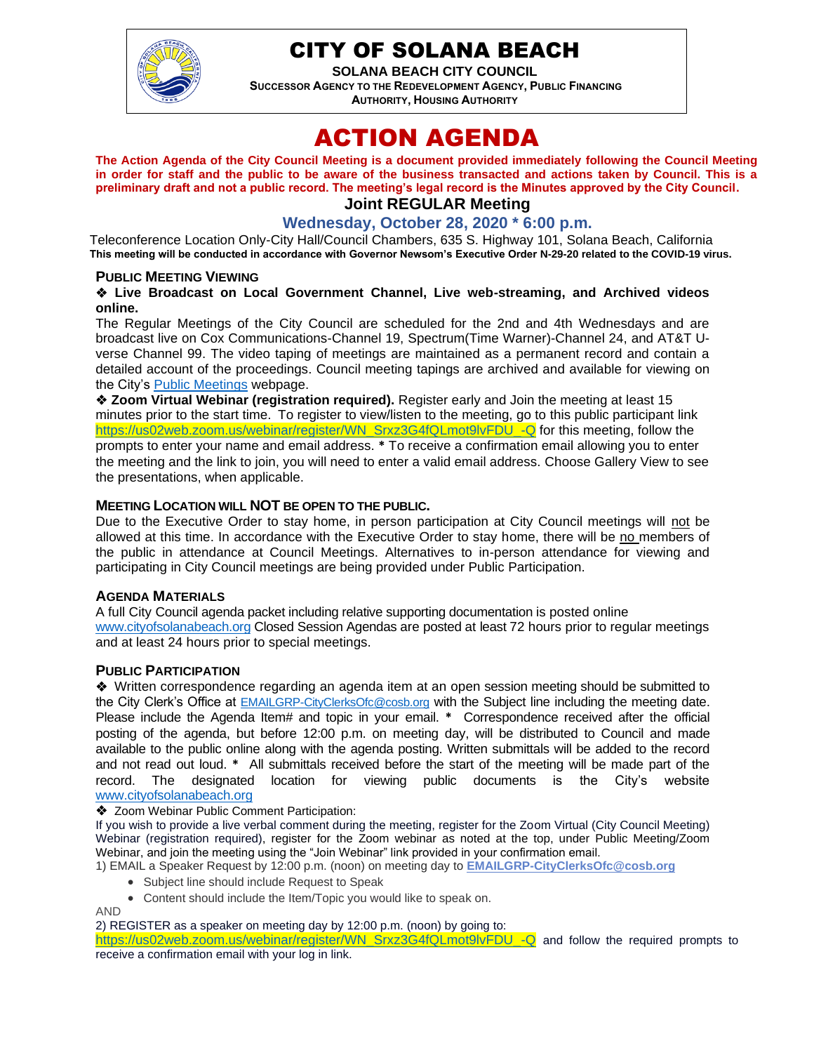

# CITY OF SOLANA BEACH

**SOLANA BEACH CITY COUNCIL SUCCESSOR AGENCY TO THE REDEVELOPMENT AGENCY, PUBLIC FINANCING AUTHORITY, HOUSING AUTHORITY** 

# ACTION AGENDA

**The Action Agenda of the City Council Meeting is a document provided immediately following the Council Meeting in order for staff and the public to be aware of the business transacted and actions taken by Council. This is a preliminary draft and not a public record. The meeting's legal record is the Minutes approved by the City Council. Joint REGULAR Meeting**

# **Wednesday, October 28, 2020 \* 6:00 p.m.**

Teleconference Location Only-City Hall/Council Chambers, 635 S. Highway 101, Solana Beach, California **This meeting will be conducted in accordance with Governor Newsom's Executive Order N-29-20 related to the COVID-19 virus.**

#### **PUBLIC MEETING VIEWING**

#### ❖ **Live Broadcast on Local Government Channel, Live web-streaming, and Archived videos online.**

The Regular Meetings of the City Council are scheduled for the 2nd and 4th Wednesdays and are broadcast live on Cox Communications-Channel 19, Spectrum(Time Warner)-Channel 24, and AT&T Uverse Channel 99. The video taping of meetings are maintained as a permanent record and contain a detailed account of the proceedings. Council meeting tapings are archived and available for viewing on the City's [Public Meetings](https://urldefense.proofpoint.com/v2/url?u=https-3A__www.ci.solana-2Dbeach.ca.us_index.asp-3FSEC-3DF0F1200D-2D21C6-2D4A88-2D8AE1-2D0BC07C1A81A7-26Type-3DB-5FBASIC&d=DwMFAg&c=euGZstcaTDllvimEN8b7jXrwqOf-v5A_CdpgnVfiiMM&r=1XAsCUuqwK_tji2t0s1uIQ&m=wny2RVfZJ2tN24LkqZmkUWNpwL_peNtTZUBlTBZiMM4&s=WwpcEQpHHkFen6nS6q2waMuQ_VMZ-i1YZ60lD-dYRRE&e=) webpage.

❖ **Zoom Virtual Webinar (registration required).** Register early and Join the meeting at least 15 minutes prior to the start time. To register to view/listen to the meeting, go to this public participant link [https://us02web.zoom.us/webinar/register/WN\\_Srxz3G4fQLmot9lvFDU\\_-Q](https://us02web.zoom.us/webinar/register/WN_Srxz3G4fQLmot9lvFDU_-Q) for this meeting, follow the prompts to enter your name and email address. **\*** To receive a confirmation email allowing you to enter the meeting and the link to join, you will need to enter a valid email address. Choose Gallery View to see the presentations, when applicable.

#### **MEETING LOCATION WILL NOT BE OPEN TO THE PUBLIC.**

Due to the Executive Order to stay home, in person participation at City Council meetings will not be allowed at this time. In accordance with the Executive Order to stay home, there will be no members of the public in attendance at Council Meetings. Alternatives to in-person attendance for viewing and participating in City Council meetings are being provided under Public Participation.

#### **AGENDA MATERIALS**

A full City Council agenda packet including relative supporting documentation is posted online [www.cityofsolanabeach.org](http://www.cityofsolanabeach.org/) Closed Session Agendas are posted at least 72 hours prior to regular meetings and at least 24 hours prior to special meetings.

#### **PUBLIC PARTICIPATION**

❖Written correspondence regarding an agenda item at an open session meeting should be submitted to the City Clerk's Office at [EMAILGRP-CityClerksOfc@cosb.org](mailto:EMAILGRP-CityClerksOfc@cosb.org) with the Subject line including the meeting date. Please include the Agenda Item# and topic in your email. **\*** Correspondence received after the official posting of the agenda, but before 12:00 p.m. on meeting day, will be distributed to Council and made available to the public online along with the agenda posting. Written submittals will be added to the record and not read out loud. **\*** All submittals received before the start of the meeting will be made part of the record. The designated location for viewing public documents is the City's website [www.cityofsolanabeach.org](http://www.cityofsolanabeach.org/)

#### ❖ Zoom Webinar Public Comment Participation:

If you wish to provide a live verbal comment during the meeting, register for the Zoom Virtual (City Council Meeting) Webinar (registration required), register for the Zoom webinar as noted at the top, under Public Meeting/Zoom Webinar, and join the meeting using the "Join Webinar" link provided in your confirmation email.

1) EMAIL a Speaker Request by 12:00 p.m. (noon) on meeting day to **[EMAILGRP-CityClerksOfc@cosb.org](mailto:EMAILGRP-CityClerksOfc@cosb.org)**

- Subject line should include Request to Speak
- Content should include the Item/Topic you would like to speak on.

AND

2) REGISTER as a speaker on meeting day by 12:00 p.m. (noon) by going to:

[https://us02web.zoom.us/webinar/register/WN\\_Srxz3G4fQLmot9lvFDU\\_-Q](https://us02web.zoom.us/webinar/register/WN_Srxz3G4fQLmot9lvFDU_-Q) and follow the required prompts to receive a confirmation email with your log in link.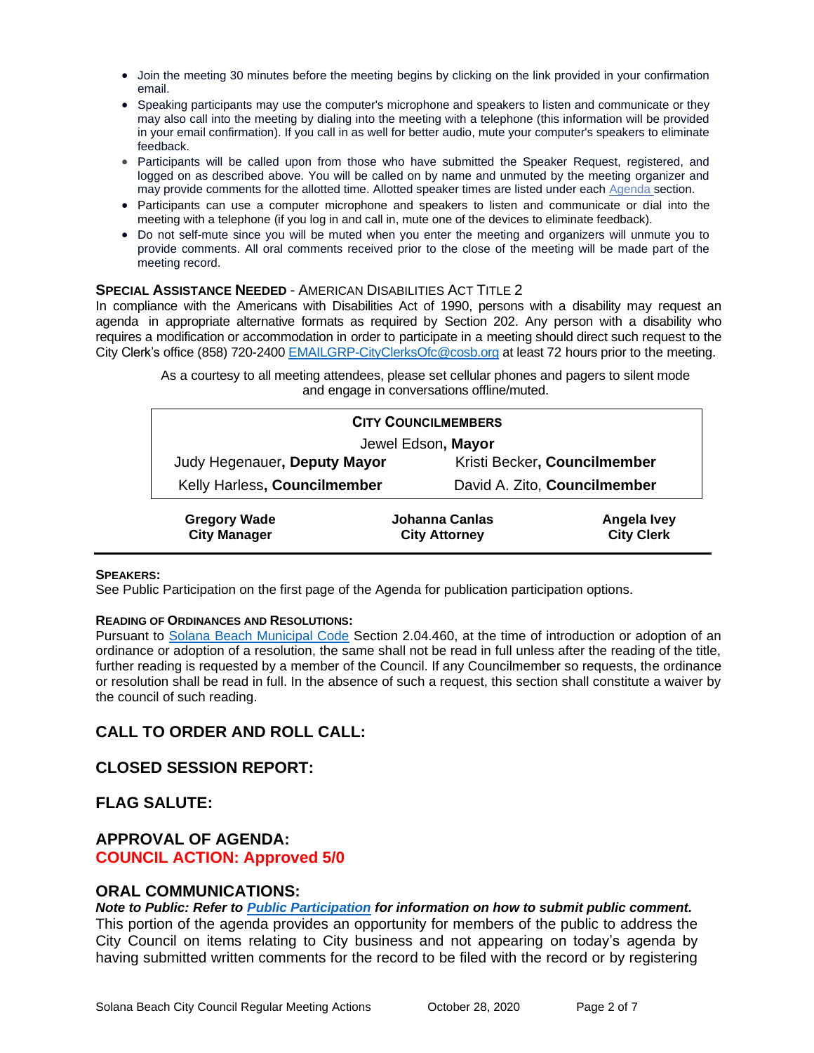- Join the meeting 30 minutes before the meeting begins by clicking on the link provided in your confirmation email.
- Speaking participants may use the computer's microphone and speakers to listen and communicate or they may also call into the meeting by dialing into the meeting with a telephone (this information will be provided in your email confirmation). If you call in as well for better audio, mute your computer's speakers to eliminate feedback.
- Participants will be called upon from those who have submitted the Speaker Request, registered, and logged on as described above. You will be called on by name and unmuted by the meeting organizer and may provide comments for the allotted time. Allotted speaker times are listed under each [Agenda s](https://urldefense.proofpoint.com/v2/url?u=https-3A__www.ci.solana-2Dbeach.ca.us_index.asp-3FSEC-3DF0F1200D-2D21C6-2D4A88-2D8AE1-2D0BC07C1A81A7-26Type-3DB-5FBASIC&d=DwMFaQ&c=euGZstcaTDllvimEN8b7jXrwqOf-v5A_CdpgnVfiiMM&r=1XAsCUuqwK_tji2t0s1uIQ&m=C7WzXfOw2_nkEFMJClT55zZsF4tmIf_7KTn0o1WpYqI&s=3DcsWExM2_nx_xpvFtXslUjphiXd0MDCCF18y_Qy5yU&e=)ection.
- Participants can use a computer microphone and speakers to listen and communicate or dial into the meeting with a telephone (if you log in and call in, mute one of the devices to eliminate feedback).
- Do not self-mute since you will be muted when you enter the meeting and organizers will unmute you to provide comments. All oral comments received prior to the close of the meeting will be made part of the meeting record.

#### **SPECIAL ASSISTANCE NEEDED** - AMERICAN DISABILITIES ACT TITLE 2

In compliance with the Americans with Disabilities Act of 1990, persons with a disability may request an agenda in appropriate alternative formats as required by Section 202. Any person with a disability who requires a modification or accommodation in order to participate in a meeting should direct such request to the City Clerk's office (858) 720-2400 [EMAILGRP-CityClerksOfc@cosb.org](mailto:EMAILGRP-CityClerksOfc@cosb.org) at least 72 hours prior to the meeting.

> As a courtesy to all meeting attendees, please set cellular phones and pagers to silent mode and engage in conversations offline/muted.

| <b>CITY COUNCILMEMBERS</b>                 |                                        |                                         |
|--------------------------------------------|----------------------------------------|-----------------------------------------|
| Jewel Edson, Mayor                         |                                        |                                         |
| Judy Hegenauer, Deputy Mayor               |                                        | Kristi Becker, Councilmember            |
| Kelly Harless, Councilmember               |                                        | David A. Zito, Councilmember            |
| <b>Gregory Wade</b><br><b>City Manager</b> | Johanna Canlas<br><b>City Attorney</b> | <b>Angela Ivey</b><br><b>City Clerk</b> |

#### **SPEAKERS:**

See Public Participation on the first page of the Agenda for publication participation options.

#### **READING OF ORDINANCES AND RESOLUTIONS:**

Pursuant to [Solana Beach Municipal Code](mailto:https://www.codepublishing.com/CA/SolanaBeach/) Section 2.04.460, at the time of introduction or adoption of an ordinance or adoption of a resolution, the same shall not be read in full unless after the reading of the title, further reading is requested by a member of the Council. If any Councilmember so requests, the ordinance or resolution shall be read in full. In the absence of such a request, this section shall constitute a waiver by the council of such reading.

# **CALL TO ORDER AND ROLL CALL:**

#### **CLOSED SESSION REPORT:**

**FLAG SALUTE:**

#### **APPROVAL OF AGENDA: COUNCIL ACTION: Approved 5/0**

#### **ORAL COMMUNICATIONS:**

#### *Note to Public: Refer to Public Participation for information on how to submit public comment.*

This portion of the agenda provides an opportunity for members of the public to address the City Council on items relating to City business and not appearing on today's agenda by having submitted written comments for the record to be filed with the record or by registering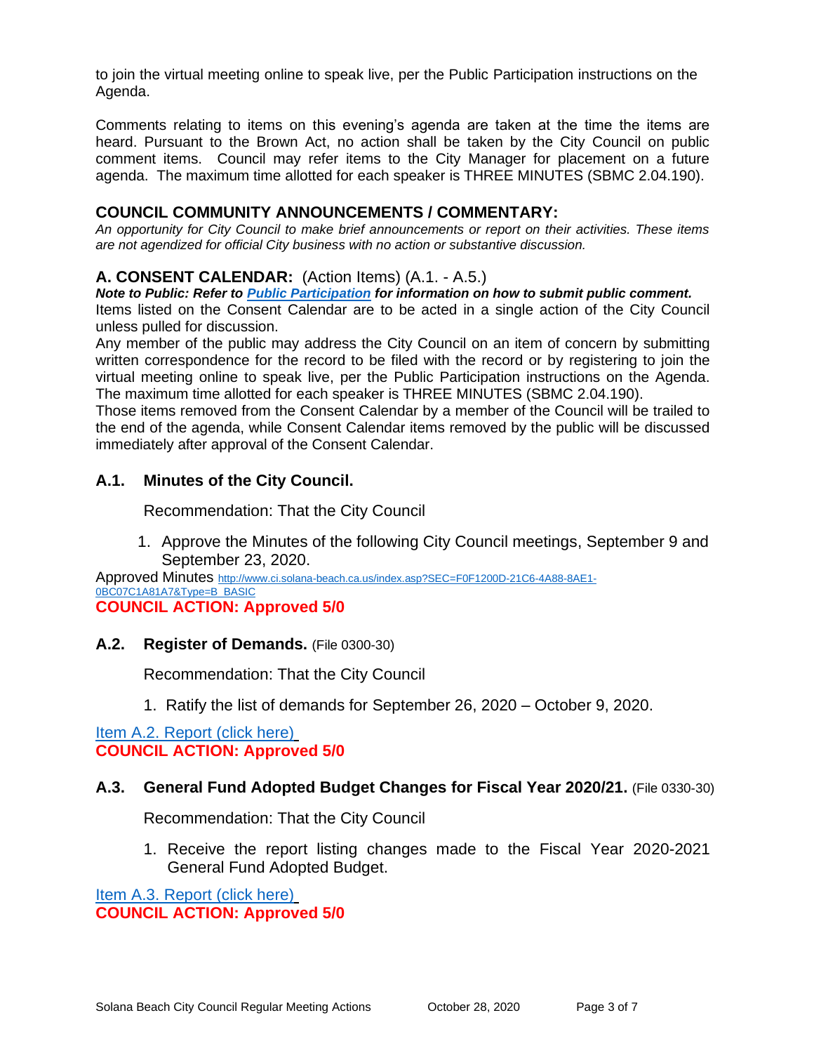to join the virtual meeting online to speak live, per the Public Participation instructions on the Agenda.

Comments relating to items on this evening's agenda are taken at the time the items are heard. Pursuant to the Brown Act, no action shall be taken by the City Council on public comment items. Council may refer items to the City Manager for placement on a future agenda. The maximum time allotted for each speaker is THREE MINUTES (SBMC 2.04.190).

## **COUNCIL COMMUNITY ANNOUNCEMENTS / COMMENTARY:**

*An opportunity for City Council to make brief announcements or report on their activities. These items are not agendized for official City business with no action or substantive discussion.* 

# **A. CONSENT CALENDAR:** (Action Items) (A.1. - A.5.)

*Note to Public: Refer to Public Participation for information on how to submit public comment.*  Items listed on the Consent Calendar are to be acted in a single action of the City Council unless pulled for discussion.

Any member of the public may address the City Council on an item of concern by submitting written correspondence for the record to be filed with the record or by registering to join the virtual meeting online to speak live, per the Public Participation instructions on the Agenda. The maximum time allotted for each speaker is THREE MINUTES (SBMC 2.04.190).

Those items removed from the Consent Calendar by a member of the Council will be trailed to the end of the agenda, while Consent Calendar items removed by the public will be discussed immediately after approval of the Consent Calendar.

### **A.1. Minutes of the City Council.**

Recommendation: That the City Council

1. Approve the Minutes of the following City Council meetings, September 9 and September 23, 2020.

Approved Minutes [http://www.ci.solana-beach.ca.us/index.asp?SEC=F0F1200D-21C6-4A88-8AE1-](http://www.ci.solana-beach.ca.us/index.asp?SEC=F0F1200D-21C6-4A88-8AE1-0BC07C1A81A7&Type=B_BASIC) [0BC07C1A81A7&Type=B\\_BASIC](http://www.ci.solana-beach.ca.us/index.asp?SEC=F0F1200D-21C6-4A88-8AE1-0BC07C1A81A7&Type=B_BASIC)

## **COUNCIL ACTION: Approved 5/0**

#### **A.2. Register of Demands.** (File 0300-30)

Recommendation: That the City Council

1. Ratify the list of demands for September 26, 2020 – October 9, 2020.

#### [Item A.2. Report \(click here\)](https://solanabeach.govoffice3.com/vertical/Sites/%7B840804C2-F869-4904-9AE3-720581350CE7%7D/uploads/Item_A.2._Report_(click_here)_10-28-20_O.pdf) **COUNCIL ACTION: Approved 5/0**

#### **A.3. General Fund Adopted Budget Changes for Fiscal Year 2020/21.** (File 0330-30)

Recommendation: That the City Council

1. Receive the report listing changes made to the Fiscal Year 2020-2021 General Fund Adopted Budget.

[Item A.3. Report \(click here\)](https://solanabeach.govoffice3.com/vertical/Sites/%7B840804C2-F869-4904-9AE3-720581350CE7%7D/uploads/Item_A.3._Report_(click_here)_10-28-20_O.pdf) **COUNCIL ACTION: Approved 5/0**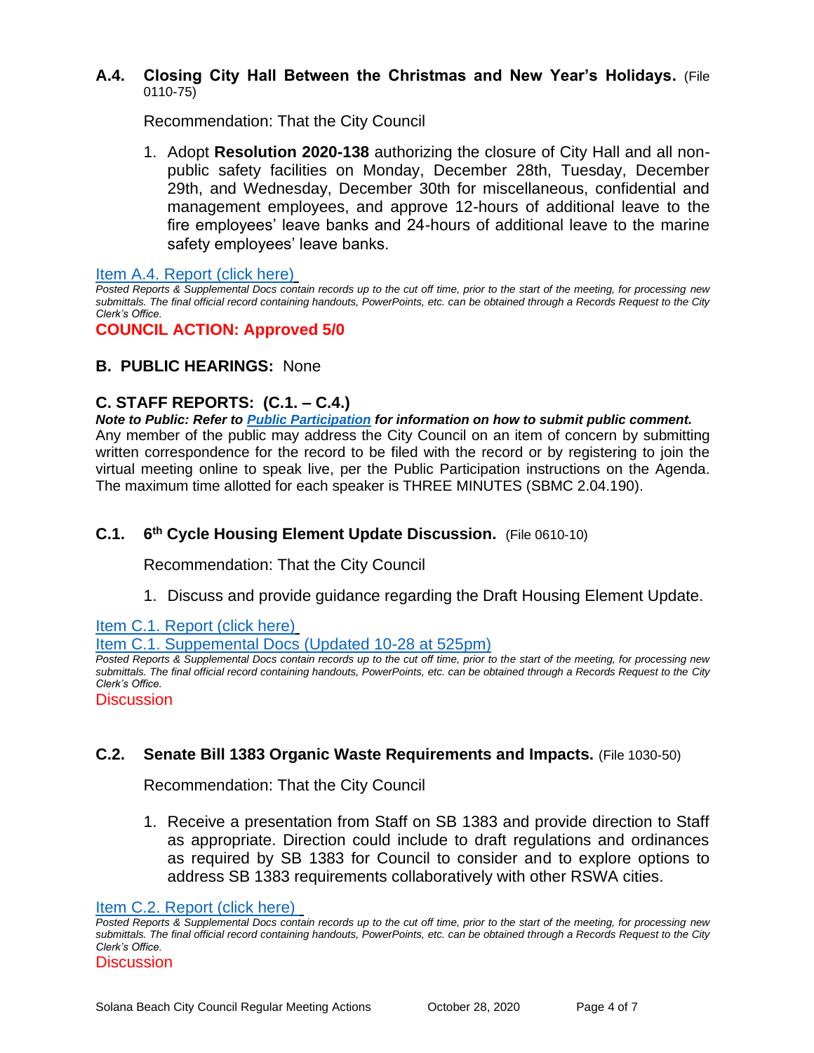### **A.4. Closing City Hall Between the Christmas and New Year's Holidays.** (File 0110-75)

Recommendation: That the City Council

1. Adopt **Resolution 2020-138** authorizing the closure of City Hall and all nonpublic safety facilities on Monday, December 28th, Tuesday, December 29th, and Wednesday, December 30th for miscellaneous, confidential and management employees, and approve 12-hours of additional leave to the fire employees' leave banks and 24-hours of additional leave to the marine safety employees' leave banks.

[Item A.4. Report \(click here\)](https://solanabeach.govoffice3.com/vertical/Sites/%7B840804C2-F869-4904-9AE3-720581350CE7%7D/uploads/Item_A.4._Report_(click_here)_10-28-20_O.pdf)

*Posted Reports & Supplemental Docs contain records up to the cut off time, prior to the start of the meeting, for processing new submittals. The final official record containing handouts, PowerPoints, etc. can be obtained through a Records Request to the City Clerk's Office.*

# **COUNCIL ACTION: Approved 5/0**

# **B. PUBLIC HEARINGS:** None

# **C. STAFF REPORTS: (C.1. – C.4.)**

*Note to Public: Refer to Public Participation for information on how to submit public comment.*  Any member of the public may address the City Council on an item of concern by submitting written correspondence for the record to be filed with the record or by registering to join the virtual meeting online to speak live, per the Public Participation instructions on the Agenda. The maximum time allotted for each speaker is THREE MINUTES (SBMC 2.04.190).

#### **C.1. 6 th Cycle Housing Element Update Discussion.** (File 0610-10)

Recommendation: That the City Council

1. Discuss and provide guidance regarding the Draft Housing Element Update.

[Item C.1. Report \(click here\)](https://www.dropbox.com/sh/zcv06if5pomosvz/AADQ4stjKgWCQ6ND4lkfVJ04a?dl=0)

[Item C.1. Suppemental Docs \(Updated 10-28 at 525pm\)](https://solanabeach.govoffice3.com/vertical/Sites/%7B840804C2-F869-4904-9AE3-720581350CE7%7D/uploads/Item_C.1._Supplemental_Docs_(Updated_10-28_at_445pm)_-_R.pdf)

*Posted Reports & Supplemental Docs contain records up to the cut off time, prior to the start of the meeting, for processing new submittals. The final official record containing handouts, PowerPoints, etc. can be obtained through a Records Request to the City Clerk's Office.*

**Discussion** 

# **C.2. Senate Bill 1383 Organic Waste Requirements and Impacts.** (File 1030-50)

Recommendation: That the City Council

1. Receive a presentation from Staff on SB 1383 and provide direction to Staff as appropriate. Direction could include to draft regulations and ordinances as required by SB 1383 for Council to consider and to explore options to address SB 1383 requirements collaboratively with other RSWA cities.

[Item C.2. Report](https://solanabeach.govoffice3.com/vertical/Sites/%7B840804C2-F869-4904-9AE3-720581350CE7%7D/uploads/Item_C.2._Report_(click_here)_10-28-20_O.pdf) (click here)

*Posted Reports & Supplemental Docs contain records up to the cut off time, prior to the start of the meeting, for processing new submittals. The final official record containing handouts, PowerPoints, etc. can be obtained through a Records Request to the City Clerk's Office.*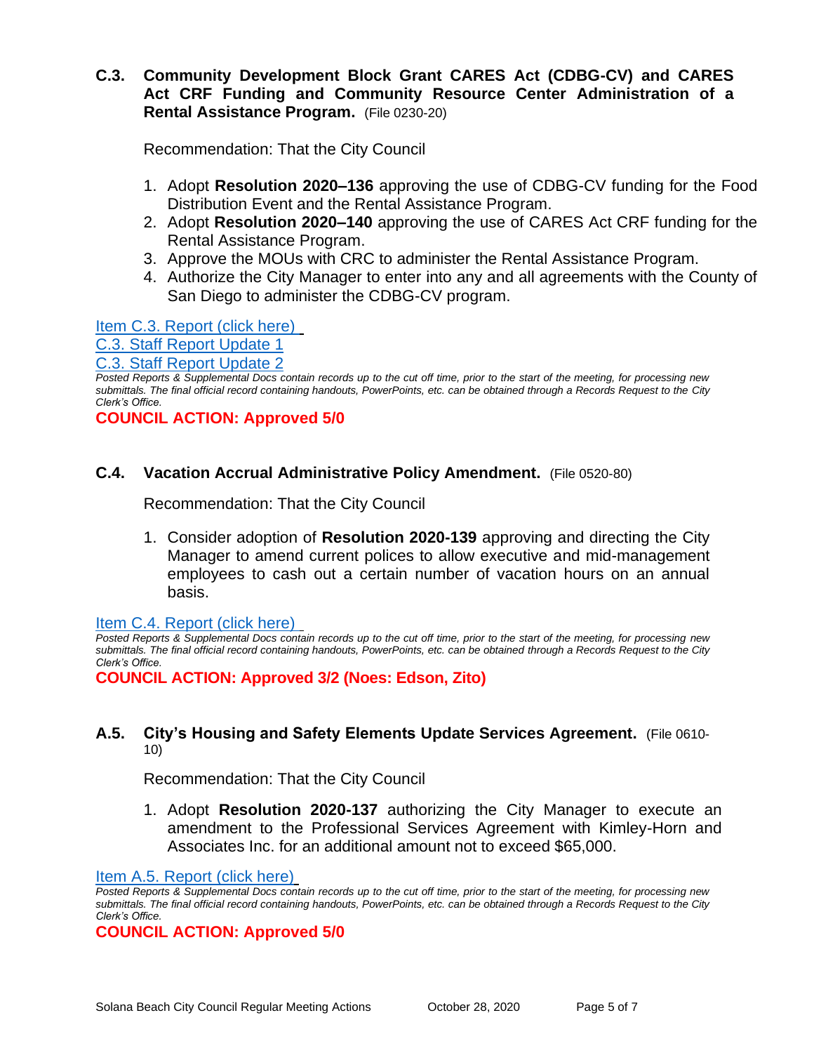# **C.3. Community Development Block Grant CARES Act (CDBG-CV) and CARES Act CRF Funding and Community Resource Center Administration of a Rental Assistance Program.** (File 0230-20)

Recommendation: That the City Council

- 1. Adopt **Resolution 2020–136** approving the use of CDBG-CV funding for the Food Distribution Event and the Rental Assistance Program.
- 2. Adopt **Resolution 2020–140** approving the use of CARES Act CRF funding for the Rental Assistance Program.
- 3. Approve the MOUs with CRC to administer the Rental Assistance Program.
- 4. Authorize the City Manager to enter into any and all agreements with the County of San Diego to administer the CDBG-CV program.

[Item C.3. Report \(click here\)](https://solanabeach.govoffice3.com/vertical/Sites/%7B840804C2-F869-4904-9AE3-720581350CE7%7D/uploads/Item_C.3._Report_(click_here)_10-28-20_O.pdf) 

[C.3. Staff Report Update 1](https://solanabeach.govoffice3.com/vertical/Sites/%7B840804C2-F869-4904-9AE3-720581350CE7%7D/uploads/C.3._Staff_Report_Update_1_-_O.pdf)

[C.3. Staff Report Update 2](https://solanabeach.govoffice3.com/vertical/Sites/%7B840804C2-F869-4904-9AE3-720581350CE7%7D/uploads/C.3._Staff_Report_Update_2_-_O.pdf)

*Posted Reports & Supplemental Docs contain records up to the cut off time, prior to the start of the meeting, for processing new submittals. The final official record containing handouts, PowerPoints, etc. can be obtained through a Records Request to the City Clerk's Office.*

**COUNCIL ACTION: Approved 5/0**

### **C.4. Vacation Accrual Administrative Policy Amendment.** (File 0520-80)

Recommendation: That the City Council

1. Consider adoption of **Resolution 2020-139** approving and directing the City Manager to amend current polices to allow executive and mid-management employees to cash out a certain number of vacation hours on an annual basis.

[Item C.4. Report \(click here\)](https://solanabeach.govoffice3.com/vertical/Sites/%7B840804C2-F869-4904-9AE3-720581350CE7%7D/uploads/Item_C.4._Report_(click_here)_10-28-20_O.pdf) 

*Posted Reports & Supplemental Docs contain records up to the cut off time, prior to the start of the meeting, for processing new submittals. The final official record containing handouts, PowerPoints, etc. can be obtained through a Records Request to the City Clerk's Office.*

**COUNCIL ACTION: Approved 3/2 (Noes: Edson, Zito)**

#### **A.5. City's Housing and Safety Elements Update Services Agreement.** (File 0610- 10)

Recommendation: That the City Council

1. Adopt **Resolution 2020-137** authorizing the City Manager to execute an amendment to the Professional Services Agreement with Kimley-Horn and Associates Inc. for an additional amount not to exceed \$65,000.

[Item A.5. Report \(click here\)](https://solanabeach.govoffice3.com/vertical/Sites/%7B840804C2-F869-4904-9AE3-720581350CE7%7D/uploads/Item_A.5._Report_(click_here)_10-28-20_-_O.pdf)

**COUNCIL ACTION: Approved 5/0**

*Posted Reports & Supplemental Docs contain records up to the cut off time, prior to the start of the meeting, for processing new submittals. The final official record containing handouts, PowerPoints, etc. can be obtained through a Records Request to the City Clerk's Office.*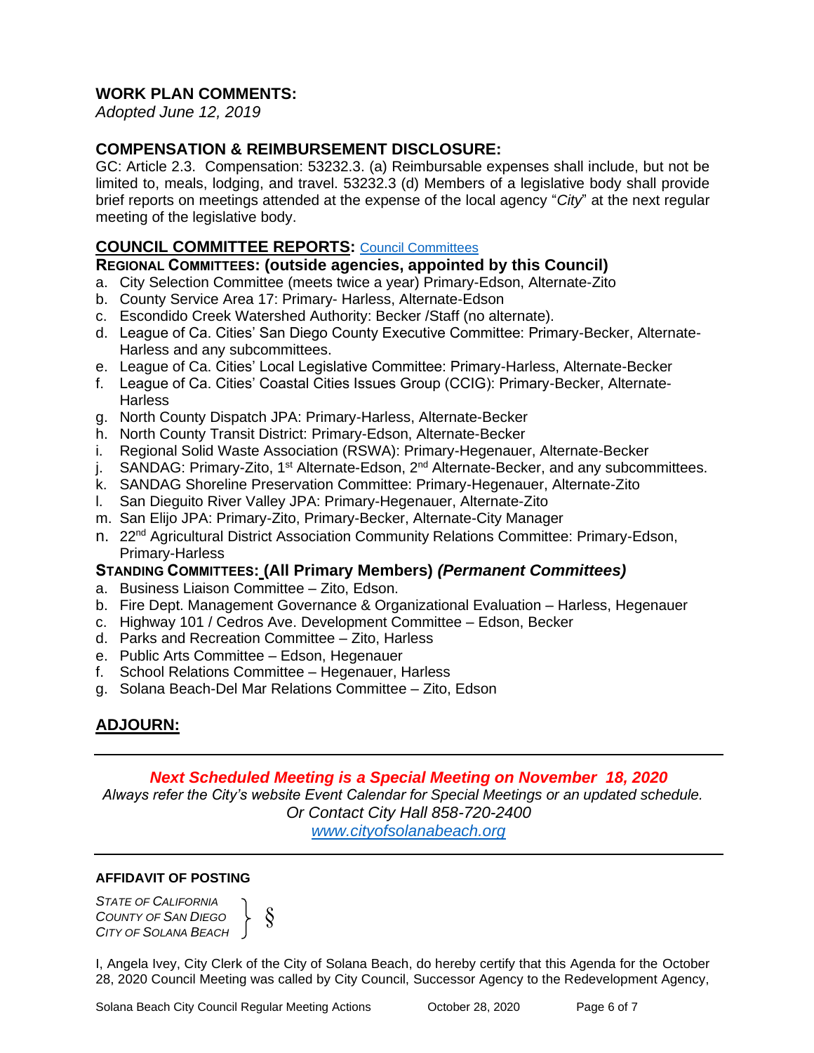# **WORK PLAN COMMENTS:**

*Adopted June 12, 2019*

# **COMPENSATION & REIMBURSEMENT DISCLOSURE:**

GC: Article 2.3. Compensation: 53232.3. (a) Reimbursable expenses shall include, but not be limited to, meals, lodging, and travel. 53232.3 (d) Members of a legislative body shall provide brief reports on meetings attended at the expense of the local agency "*City*" at the next regular meeting of the legislative body.

# **COUNCIL COMMITTEE REPORTS:** [Council Committees](https://www.ci.solana-beach.ca.us/index.asp?SEC=584E1192-3850-46EA-B977-088AC3E81E0D&Type=B_BASIC)

#### **REGIONAL COMMITTEES: (outside agencies, appointed by this Council)**

- a. City Selection Committee (meets twice a year) Primary-Edson, Alternate-Zito
- b. County Service Area 17: Primary- Harless, Alternate-Edson
- c. Escondido Creek Watershed Authority: Becker /Staff (no alternate).
- d. League of Ca. Cities' San Diego County Executive Committee: Primary-Becker, Alternate-Harless and any subcommittees.
- e. League of Ca. Cities' Local Legislative Committee: Primary-Harless, Alternate-Becker
- f. League of Ca. Cities' Coastal Cities Issues Group (CCIG): Primary-Becker, Alternate-Harless
- g. North County Dispatch JPA: Primary-Harless, Alternate-Becker
- h. North County Transit District: Primary-Edson, Alternate-Becker
- i. Regional Solid Waste Association (RSWA): Primary-Hegenauer, Alternate-Becker
- j. SANDAG: Primary-Zito, 1<sup>st</sup> Alternate-Edson, 2<sup>nd</sup> Alternate-Becker, and any subcommittees.
- k. SANDAG Shoreline Preservation Committee: Primary-Hegenauer, Alternate-Zito
- l. San Dieguito River Valley JPA: Primary-Hegenauer, Alternate-Zito
- m. San Elijo JPA: Primary-Zito, Primary-Becker, Alternate-City Manager
- n. 22nd Agricultural District Association Community Relations Committee: Primary-Edson, Primary-Harless

# **STANDING COMMITTEES: (All Primary Members)** *(Permanent Committees)*

- a. Business Liaison Committee Zito, Edson.
- b. Fire Dept. Management Governance & Organizational Evaluation Harless, Hegenauer
- c. Highway 101 / Cedros Ave. Development Committee Edson, Becker
- d. Parks and Recreation Committee Zito, Harless
- e. Public Arts Committee Edson, Hegenauer
- f. School Relations Committee Hegenauer, Harless

§

g. Solana Beach-Del Mar Relations Committee – Zito, Edson

# **ADJOURN:**

#### *Next Scheduled Meeting is a Special Meeting on November 18, 2020*

*Always refer the City's website Event Calendar for Special Meetings or an updated schedule. Or Contact City Hall 858-720-2400*

*[www.cityofsolanabeach.org](http://www.cityofsolanabeach.org/)* 

#### **AFFIDAVIT OF POSTING**

*STATE OF CALIFORNIA COUNTY OF SAN DIEGO CITY OF SOLANA BEACH*

I, Angela Ivey, City Clerk of the City of Solana Beach, do hereby certify that this Agenda for the October 28, 2020 Council Meeting was called by City Council, Successor Agency to the Redevelopment Agency,